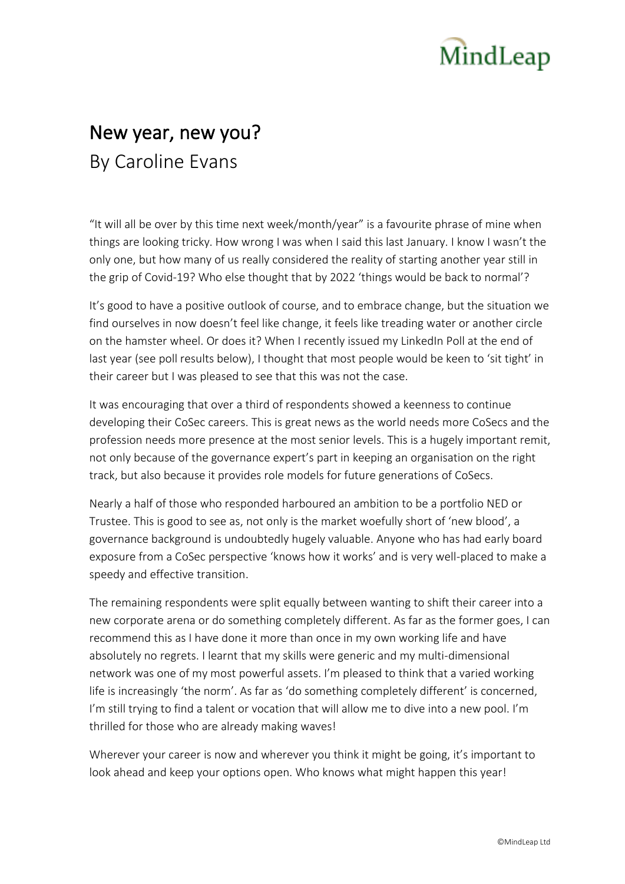## MindLeap

## New year, new you? By Caroline Evans

"It will all be over by this time next week/month/year" is a favourite phrase of mine when things are looking tricky. How wrong I was when I said this last January. I know I wasn't the only one, but how many of us really considered the reality of starting another year still in the grip of Covid-19? Who else thought that by 2022 'things would be back to normal'?

It's good to have a positive outlook of course, and to embrace change, but the situation we find ourselves in now doesn't feel like change, it feels like treading water or another circle on the hamster wheel. Or does it? When I recently issued my LinkedIn Poll at the end of last year (see poll results below), I thought that most people would be keen to 'sit tight' in their career but I was pleased to see that this was not the case.

It was encouraging that over a third of respondents showed a keenness to continue developing their CoSec careers. This is great news as the world needs more CoSecs and the profession needs more presence at the most senior levels. This is a hugely important remit, not only because of the governance expert's part in keeping an organisation on the right track, but also because it provides role models for future generations of CoSecs.

Nearly a half of those who responded harboured an ambition to be a portfolio NED or Trustee. This is good to see as, not only is the market woefully short of 'new blood', a governance background is undoubtedly hugely valuable. Anyone who has had early board exposure from a CoSec perspective 'knows how it works' and is very well-placed to make a speedy and effective transition.

The remaining respondents were split equally between wanting to shift their career into a new corporate arena or do something completely different. As far as the former goes, I can recommend this as I have done it more than once in my own working life and have absolutely no regrets. I learnt that my skills were generic and my multi-dimensional network was one of my most powerful assets. I'm pleased to think that a varied working life is increasingly 'the norm'. As far as 'do something completely different' is concerned, I'm still trying to find a talent or vocation that will allow me to dive into a new pool. I'm thrilled for those who are already making waves!

Wherever your career is now and wherever you think it might be going, it's important to look ahead and keep your options open. Who knows what might happen this year!